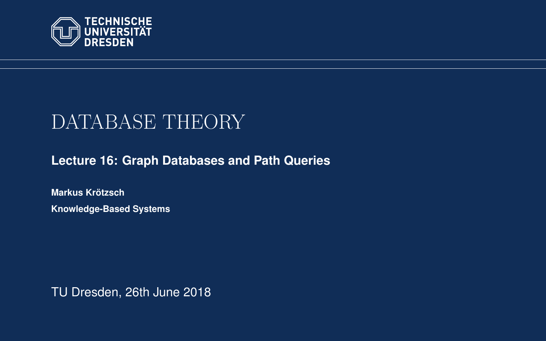<span id="page-0-0"></span>

# DATABASE THEORY

**[Lecture 16: Graph Databases and Path Queries](https://iccl.inf.tu-dresden.de/web/Database_Theory_(SS2018))**

**[Markus Krotzsch](https://iccl.inf.tu-dresden.de/web/Markus_Kr%C3%B6tzsch/en) ¨ Knowledge-Based Systems**

TU Dresden, 26th June 2018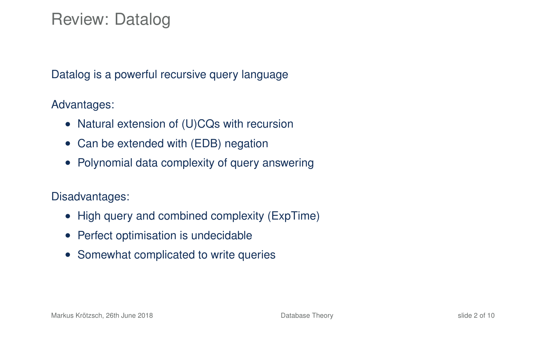### Review: Datalog

Datalog is a powerful recursive query language

Advantages:

- Natural extension of (U)CQs with recursion
- Can be extended with (EDB) negation
- Polynomial data complexity of query answering

Disadvantages:

- High query and combined complexity (ExpTime)
- Perfect optimisation is undecidable
- Somewhat complicated to write queries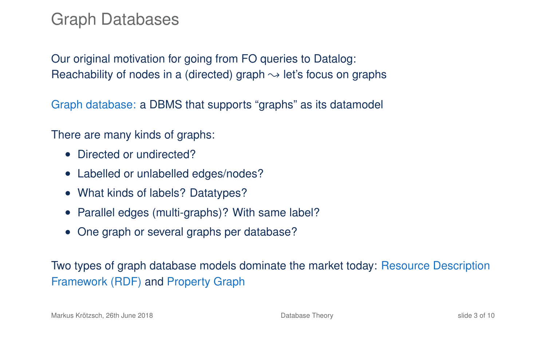### Graph Databases

Our original motivation for going from FO queries to Datalog: Reachability of nodes in a (directed) graph  $\rightarrow$  let's focus on graphs

Graph database: a DBMS that supports "graphs" as its datamodel

There are many kinds of graphs:

- Directed or undirected?
- Labelled or unlabelled edges/nodes?
- What kinds of labels? Datatypes?
- Parallel edges (multi-graphs)? With same label?
- One graph or several graphs per database?

Two types of graph database models dominate the market today: Resource Description Framework (RDF) and Property Graph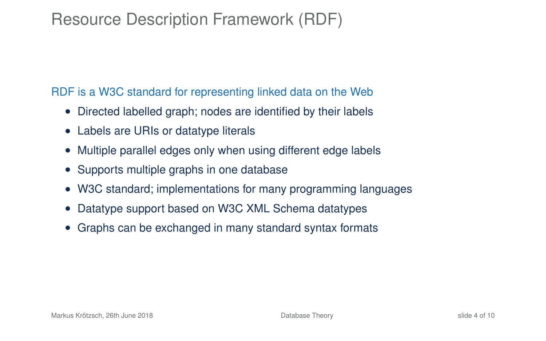# Resource Description Framework (RDF)

RDF is a W3C standard for representing linked data on the Web

- Directed labelled graph; nodes are identified by their labels
- Labels are URIs or datatype literals
- Multiple parallel edges only when using different edge labels
- Supports multiple graphs in one database
- W3C standard; implementations for many programming languages
- Datatype support based on W3C XML Schema datatypes
- Graphs can be exchanged in many standard syntax formats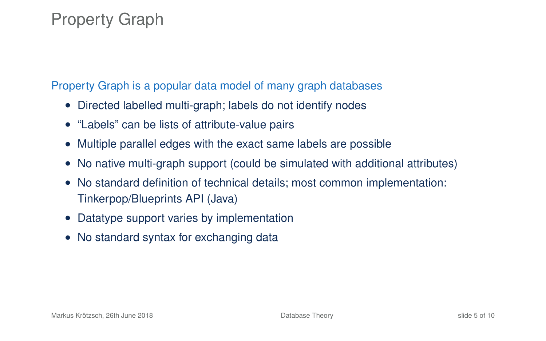# Property Graph

Property Graph is a popular data model of many graph databases

- Directed labelled multi-graph; labels do not identify nodes
- "Labels" can be lists of attribute-value pairs
- Multiple parallel edges with the exact same labels are possible
- No native multi-graph support (could be simulated with additional attributes)
- No standard definition of technical details; most common implementation: Tinkerpop/Blueprints API (Java)
- Datatype support varies by implementation
- No standard syntax for exchanging data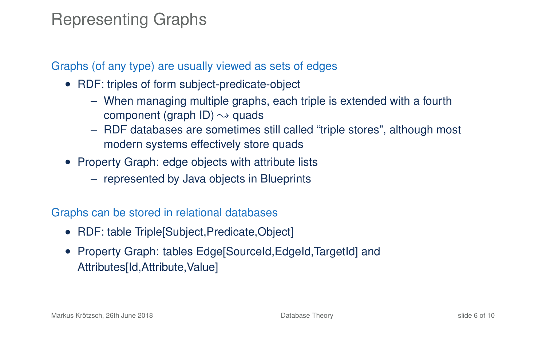### Representing Graphs

#### Graphs (of any type) are usually viewed as sets of edges

- RDF: triples of form subject-predicate-object
	- When managing multiple graphs, each triple is extended with a fourth component (graph ID)  $\rightsquigarrow$  quads
	- RDF databases are sometimes still called "triple stores", although most modern systems effectively store quads
- Property Graph: edge objects with attribute lists
	- represented by Java objects in Blueprints

#### Graphs can be stored in relational databases

- RDF: table Triple[Subject, Predicate, Object]
- Property Graph: tables Edge[SourceId, EdgeId, TargetId] and Attributes[Id,Attribute,Value]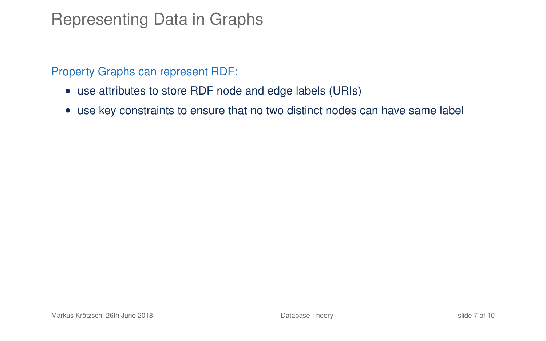### Representing Data in Graphs

Property Graphs can represent RDF:

- use attributes to store RDF node and edge labels (URIs)
- use key constraints to ensure that no two distinct nodes can have same label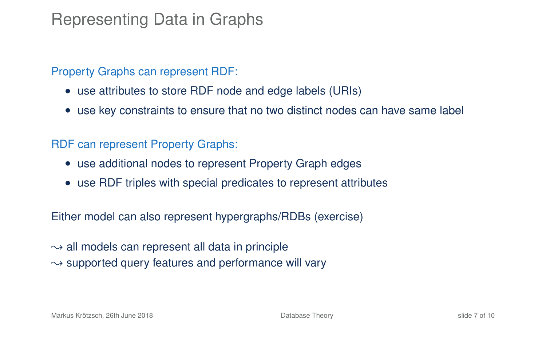### Representing Data in Graphs

#### Property Graphs can represent RDF:

- use attributes to store RDF node and edge labels (URIs)
- use key constraints to ensure that no two distinct nodes can have same label

#### RDF can represent Property Graphs:

- use additional nodes to represent Property Graph edges
- use RDF triples with special predicates to represent attributes

Either model can also represent hypergraphs/RDBs (exercise)

 $\rightarrow$  all models can represent all data in principle  $\rightarrow$  supported query features and performance will vary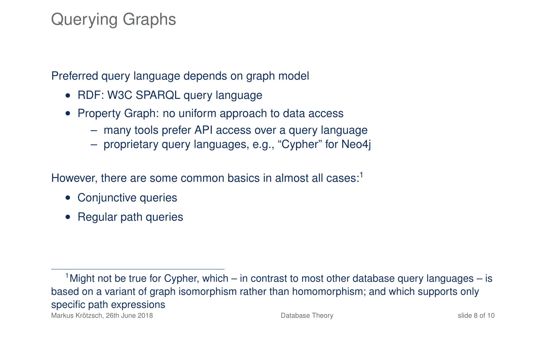# Querying Graphs

Preferred query language depends on graph model

- RDF: W3C SPARQL query language
- Property Graph: no uniform approach to data access
	- many tools prefer API access over a query language
	- proprietary query languages, e.g., "Cypher" for Neo4j

However, there are some common basics in almost all cases: $1$ 

- Conjunctive queries
- Regular path queries

<sup>&</sup>lt;sup>1</sup> Might not be true for Cypher, which – in contrast to most other database query languages – is based on a variant of graph isomorphism rather than homomorphism; and which supports only specific path expressions Markus Krötzsch, 26th June 2018 [Database Theory](#page-0-0) slide 8 of 10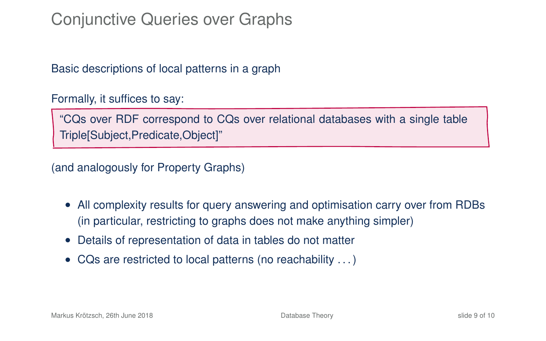# Conjunctive Queries over Graphs

Basic descriptions of local patterns in a graph

Formally, it suffices to say:

"CQs over RDF correspond to CQs over relational databases with a single table Triple[Subject,Predicate,Object]"

(and analogously for Property Graphs)

- All complexity results for query answering and optimisation carry over from RDBs (in particular, restricting to graphs does not make anything simpler)
- Details of representation of data in tables do not matter
- CQs are restricted to local patterns (no reachability . . . )